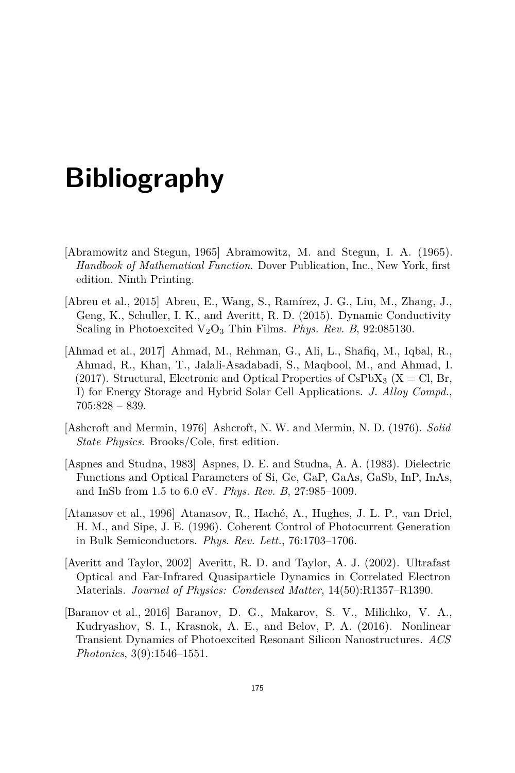## **Bibliography**

- [Abramowitz and Stegun, 1965] Abramowitz, M. and Stegun, I. A. (1965). *Handbook of Mathematical Function*. Dover Publication, Inc., New York, first edition. Ninth Printing.
- [Abreu et al., 2015] Abreu, E., Wang, S., Ramírez, J. G., Liu, M., Zhang, J., Geng, K., Schuller, I. K., and Averitt, R. D. (2015). Dynamic Conductivity Scaling in Photoexcited V<sub>2</sub>O<sub>3</sub> Thin Films. *Phys. Rev. B*, 92:085130.
- [Ahmad et al., 2017] Ahmad, M., Rehman, G., Ali, L., Shafiq, M., Iqbal, R., Ahmad, R., Khan, T., Jalali-Asadabadi, S., Maqbool, M., and Ahmad, I. (2017). Structural, Electronic and Optical Properties of CsPbX<sub>3</sub> (X = Cl, Br, I) for Energy Storage and Hybrid Solar Cell Applications. *J. Alloy Compd.*, 705:828 – 839.
- [Ashcroft and Mermin, 1976] Ashcroft, N. W. and Mermin, N. D. (1976). *Solid State Physics*. Brooks/Cole, first edition.
- [Aspnes and Studna, 1983] Aspnes, D. E. and Studna, A. A. (1983). Dielectric Functions and Optical Parameters of Si, Ge, GaP, GaAs, GaSb, InP, InAs, and InSb from 1.5 to 6.0 eV. *Phys. Rev. B*, 27:985–1009.
- [Atanasov et al., 1996] Atanasov, R., Haché, A., Hughes, J. L. P., van Driel, H. M., and Sipe, J. E. (1996). Coherent Control of Photocurrent Generation in Bulk Semiconductors. *Phys. Rev. Lett.*, 76:1703–1706.
- [Averitt and Taylor, 2002] Averitt, R. D. and Taylor, A. J. (2002). Ultrafast Optical and Far-Infrared Quasiparticle Dynamics in Correlated Electron Materials. *Journal of Physics: Condensed Matter*, 14(50):R1357–R1390.
- [Baranov et al., 2016] Baranov, D. G., Makarov, S. V., Milichko, V. A., Kudryashov, S. I., Krasnok, A. E., and Belov, P. A. (2016). Nonlinear Transient Dynamics of Photoexcited Resonant Silicon Nanostructures. *ACS Photonics*, 3(9):1546–1551.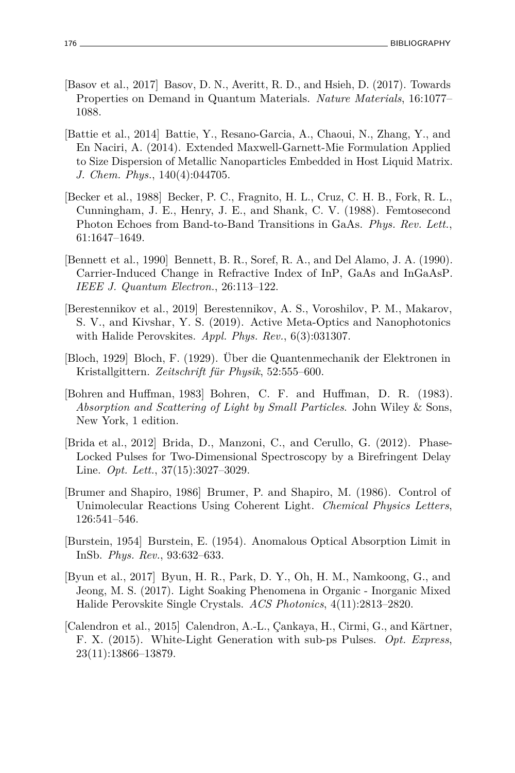- [Basov et al., 2017] Basov, D. N., Averitt, R. D., and Hsieh, D. (2017). Towards Properties on Demand in Quantum Materials. *Nature Materials*, 16:1077– 1088.
- [Battie et al., 2014] Battie, Y., Resano-Garcia, A., Chaoui, N., Zhang, Y., and En Naciri, A. (2014). Extended Maxwell-Garnett-Mie Formulation Applied to Size Dispersion of Metallic Nanoparticles Embedded in Host Liquid Matrix. *J. Chem. Phys.*, 140(4):044705.
- [Becker et al., 1988] Becker, P. C., Fragnito, H. L., Cruz, C. H. B., Fork, R. L., Cunningham, J. E., Henry, J. E., and Shank, C. V. (1988). Femtosecond Photon Echoes from Band-to-Band Transitions in GaAs. *Phys. Rev. Lett.*, 61:1647–1649.
- [Bennett et al., 1990] Bennett, B. R., Soref, R. A., and Del Alamo, J. A. (1990). Carrier-Induced Change in Refractive Index of InP, GaAs and InGaAsP. *IEEE J. Quantum Electron.*, 26:113–122.
- [Berestennikov et al., 2019] Berestennikov, A. S., Voroshilov, P. M., Makarov, S. V., and Kivshar, Y. S. (2019). Active Meta-Optics and Nanophotonics with Halide Perovskites. *Appl. Phys. Rev.*, 6(3):031307.
- [Bloch, 1929] Bloch, F. (1929). Über die Quantenmechanik der Elektronen in Kristallgittern. *Zeitschrift für Physik*, 52:555–600.
- [Bohren and Huffman, 1983] Bohren, C. F. and Huffman, D. R. (1983). *Absorption and Scattering of Light by Small Particles*. John Wiley & Sons, New York, 1 edition.
- [Brida et al., 2012] Brida, D., Manzoni, C., and Cerullo, G. (2012). Phase-Locked Pulses for Two-Dimensional Spectroscopy by a Birefringent Delay Line. *Opt. Lett.*, 37(15):3027–3029.
- [Brumer and Shapiro, 1986] Brumer, P. and Shapiro, M. (1986). Control of Unimolecular Reactions Using Coherent Light. *Chemical Physics Letters*, 126:541–546.
- [Burstein, 1954] Burstein, E. (1954). Anomalous Optical Absorption Limit in InSb. *Phys. Rev.*, 93:632–633.
- [Byun et al., 2017] Byun, H. R., Park, D. Y., Oh, H. M., Namkoong, G., and Jeong, M. S. (2017). Light Soaking Phenomena in Organic - Inorganic Mixed Halide Perovskite Single Crystals. *ACS Photonics*, 4(11):2813–2820.
- [Calendron et al., 2015] Calendron, A.-L., Çankaya, H., Cirmi, G., and Kärtner, F. X. (2015). White-Light Generation with sub-ps Pulses. *Opt. Express*, 23(11):13866–13879.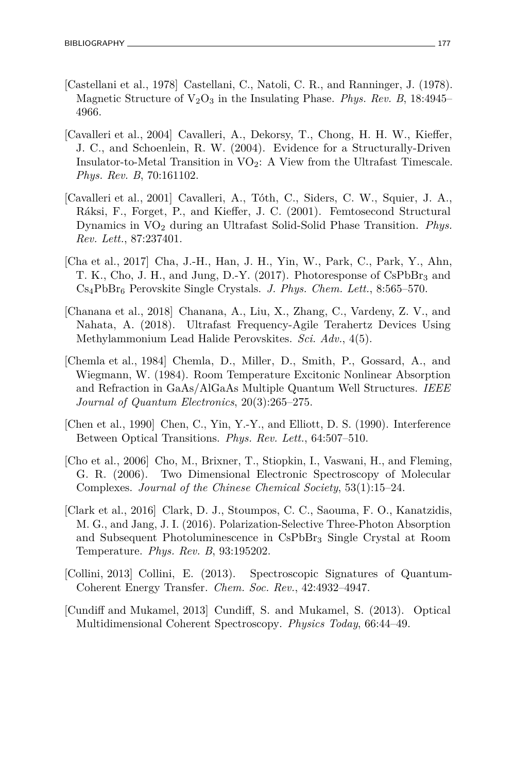- [Castellani et al., 1978] Castellani, C., Natoli, C. R., and Ranninger, J. (1978). Magnetic Structure of  $V_2O_3$  in the Insulating Phase. *Phys. Rev. B*, 18:4945– 4966.
- [Cavalleri et al., 2004] Cavalleri, A., Dekorsy, T., Chong, H. H. W., Kieffer, J. C., and Schoenlein, R. W. (2004). Evidence for a Structurally-Driven Insulator-to-Metal Transition in  $VO<sub>2</sub>$ : A View from the Ultrafast Timescale. *Phys. Rev. B*, 70:161102.
- [Cavalleri et al., 2001] Cavalleri, A., Tóth, C., Siders, C. W., Squier, J. A., Ráksi, F., Forget, P., and Kieffer, J. C. (2001). Femtosecond Structural Dynamics in VO<sup>2</sup> during an Ultrafast Solid-Solid Phase Transition. *Phys. Rev. Lett.*, 87:237401.
- [Cha et al., 2017] Cha, J.-H., Han, J. H., Yin, W., Park, C., Park, Y., Ahn, T. K., Cho, J. H., and Jung, D.-Y. (2017). Photoresponse of  $CsPbBr<sub>3</sub>$  and Cs4PbBr<sup>6</sup> Perovskite Single Crystals. *J. Phys. Chem. Lett.*, 8:565–570.
- [Chanana et al., 2018] Chanana, A., Liu, X., Zhang, C., Vardeny, Z. V., and Nahata, A. (2018). Ultrafast Frequency-Agile Terahertz Devices Using Methylammonium Lead Halide Perovskites. *Sci. Adv.*, 4(5).
- [Chemla et al., 1984] Chemla, D., Miller, D., Smith, P., Gossard, A., and Wiegmann, W. (1984). Room Temperature Excitonic Nonlinear Absorption and Refraction in GaAs/AlGaAs Multiple Quantum Well Structures. *IEEE Journal of Quantum Electronics*, 20(3):265–275.
- [Chen et al., 1990] Chen, C., Yin, Y.-Y., and Elliott, D. S. (1990). Interference Between Optical Transitions. *Phys. Rev. Lett.*, 64:507–510.
- [Cho et al., 2006] Cho, M., Brixner, T., Stiopkin, I., Vaswani, H., and Fleming, G. R. (2006). Two Dimensional Electronic Spectroscopy of Molecular Complexes. *Journal of the Chinese Chemical Society*, 53(1):15–24.
- [Clark et al., 2016] Clark, D. J., Stoumpos, C. C., Saouma, F. O., Kanatzidis, M. G., and Jang, J. I. (2016). Polarization-Selective Three-Photon Absorption and Subsequent Photoluminescence in CsPbBr<sup>3</sup> Single Crystal at Room Temperature. *Phys. Rev. B*, 93:195202.
- [Collini, 2013] Collini, E. (2013). Spectroscopic Signatures of Quantum-Coherent Energy Transfer. *Chem. Soc. Rev.*, 42:4932–4947.
- [Cundiff and Mukamel, 2013] Cundiff, S. and Mukamel, S. (2013). Optical Multidimensional Coherent Spectroscopy. *Physics Today*, 66:44–49.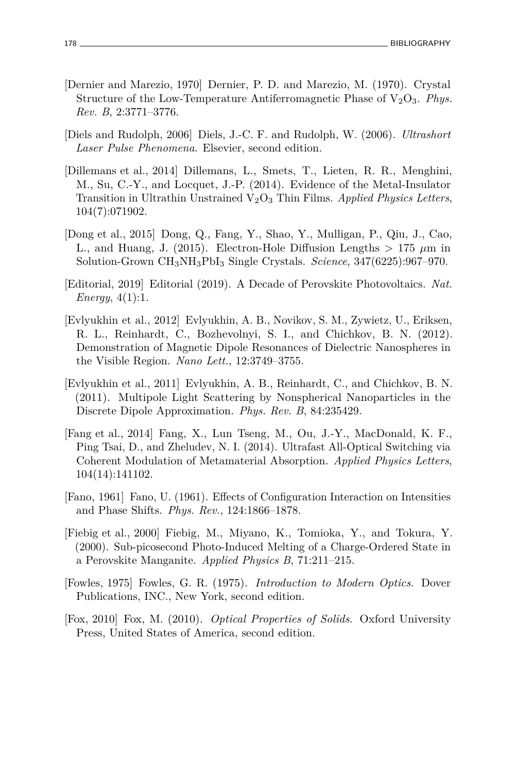- [Dernier and Marezio, 1970] Dernier, P. D. and Marezio, M. (1970). Crystal Structure of the Low-Temperature Antiferromagnetic Phase of  $V_2O_3$ . *Phys. Rev. B*, 2:3771–3776.
- [Diels and Rudolph, 2006] Diels, J.-C. F. and Rudolph, W. (2006). *Ultrashort Laser Pulse Phenomena*. Elsevier, second edition.
- [Dillemans et al., 2014] Dillemans, L., Smets, T., Lieten, R. R., Menghini, M., Su, C.-Y., and Locquet, J.-P. (2014). Evidence of the Metal-Insulator Transition in Ultrathin Unstrained V2O<sup>3</sup> Thin Films. *Applied Physics Letters*, 104(7):071902.
- [Dong et al., 2015] Dong, Q., Fang, Y., Shao, Y., Mulligan, P., Qiu, J., Cao, L., and Huang, J. (2015). Electron-Hole Diffusion Lengths  $> 175 \mu m$  in Solution-Grown CH3NH3PbI<sup>3</sup> Single Crystals. *Science*, 347(6225):967–970.
- [Editorial, 2019] Editorial (2019). A Decade of Perovskite Photovoltaics. *Nat. Energy*, 4(1):1.
- [Evlyukhin et al., 2012] Evlyukhin, A. B., Novikov, S. M., Zywietz, U., Eriksen, R. L., Reinhardt, C., Bozhevolnyi, S. I., and Chichkov, B. N. (2012). Demonstration of Magnetic Dipole Resonances of Dielectric Nanospheres in the Visible Region. *Nano Lett.*, 12:3749–3755.
- [Evlyukhin et al., 2011] Evlyukhin, A. B., Reinhardt, C., and Chichkov, B. N. (2011). Multipole Light Scattering by Nonspherical Nanoparticles in the Discrete Dipole Approximation. *Phys. Rev. B*, 84:235429.
- [Fang et al., 2014] Fang, X., Lun Tseng, M., Ou, J.-Y., MacDonald, K. F., Ping Tsai, D., and Zheludev, N. I. (2014). Ultrafast All-Optical Switching via Coherent Modulation of Metamaterial Absorption. *Applied Physics Letters*, 104(14):141102.
- [Fano, 1961] Fano, U. (1961). Effects of Configuration Interaction on Intensities and Phase Shifts. *Phys. Rev.*, 124:1866–1878.
- [Fiebig et al., 2000] Fiebig, M., Miyano, K., Tomioka, Y., and Tokura, Y. (2000). Sub-picosecond Photo-Induced Melting of a Charge-Ordered State in a Perovskite Manganite. *Applied Physics B*, 71:211–215.
- [Fowles, 1975] Fowles, G. R. (1975). *Introduction to Modern Optics*. Dover Publications, INC., New York, second edition.
- [Fox, 2010] Fox, M. (2010). *Optical Properties of Solids*. Oxford University Press, United States of America, second edition.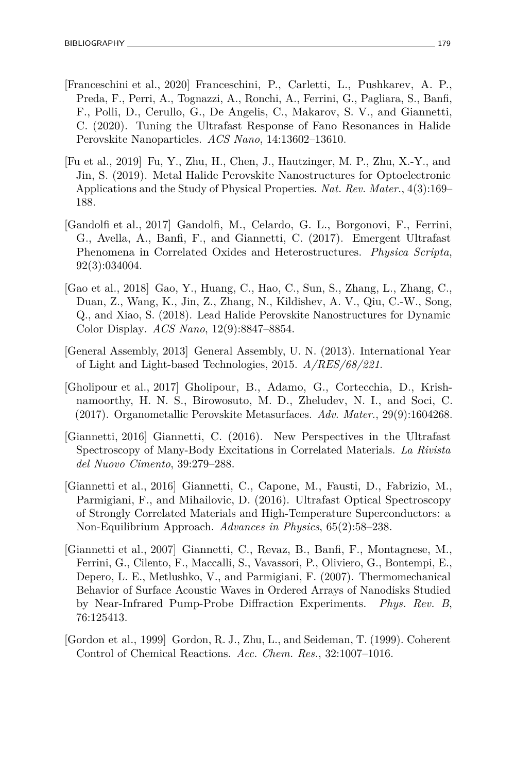- [Franceschini et al., 2020] Franceschini, P., Carletti, L., Pushkarev, A. P., Preda, F., Perri, A., Tognazzi, A., Ronchi, A., Ferrini, G., Pagliara, S., Banfi, F., Polli, D., Cerullo, G., De Angelis, C., Makarov, S. V., and Giannetti, C. (2020). Tuning the Ultrafast Response of Fano Resonances in Halide Perovskite Nanoparticles. *ACS Nano*, 14:13602–13610.
- [Fu et al., 2019] Fu, Y., Zhu, H., Chen, J., Hautzinger, M. P., Zhu, X.-Y., and Jin, S. (2019). Metal Halide Perovskite Nanostructures for Optoelectronic Applications and the Study of Physical Properties. *Nat. Rev. Mater.*, 4(3):169– 188.
- [Gandolfi et al., 2017] Gandolfi, M., Celardo, G. L., Borgonovi, F., Ferrini, G., Avella, A., Banfi, F., and Giannetti, C. (2017). Emergent Ultrafast Phenomena in Correlated Oxides and Heterostructures. *Physica Scripta*, 92(3):034004.
- [Gao et al., 2018] Gao, Y., Huang, C., Hao, C., Sun, S., Zhang, L., Zhang, C., Duan, Z., Wang, K., Jin, Z., Zhang, N., Kildishev, A. V., Qiu, C.-W., Song, Q., and Xiao, S. (2018). Lead Halide Perovskite Nanostructures for Dynamic Color Display. *ACS Nano*, 12(9):8847–8854.
- [General Assembly, 2013] General Assembly, U. N. (2013). International Year of Light and Light-based Technologies, 2015. *A/RES/68/221*.
- [Gholipour et al., 2017] Gholipour, B., Adamo, G., Cortecchia, D., Krishnamoorthy, H. N. S., Birowosuto, M. D., Zheludev, N. I., and Soci, C. (2017). Organometallic Perovskite Metasurfaces. *Adv. Mater.*, 29(9):1604268.
- [Giannetti, 2016] Giannetti, C. (2016). New Perspectives in the Ultrafast Spectroscopy of Many-Body Excitations in Correlated Materials. *La Rivista del Nuovo Cimento*, 39:279–288.
- [Giannetti et al., 2016] Giannetti, C., Capone, M., Fausti, D., Fabrizio, M., Parmigiani, F., and Mihailovic, D. (2016). Ultrafast Optical Spectroscopy of Strongly Correlated Materials and High-Temperature Superconductors: a Non-Equilibrium Approach. *Advances in Physics*, 65(2):58–238.
- [Giannetti et al., 2007] Giannetti, C., Revaz, B., Banfi, F., Montagnese, M., Ferrini, G., Cilento, F., Maccalli, S., Vavassori, P., Oliviero, G., Bontempi, E., Depero, L. E., Metlushko, V., and Parmigiani, F. (2007). Thermomechanical Behavior of Surface Acoustic Waves in Ordered Arrays of Nanodisks Studied by Near-Infrared Pump-Probe Diffraction Experiments. *Phys. Rev. B*, 76:125413.
- [Gordon et al., 1999] Gordon, R. J., Zhu, L., and Seideman, T. (1999). Coherent Control of Chemical Reactions. *Acc. Chem. Res.*, 32:1007–1016.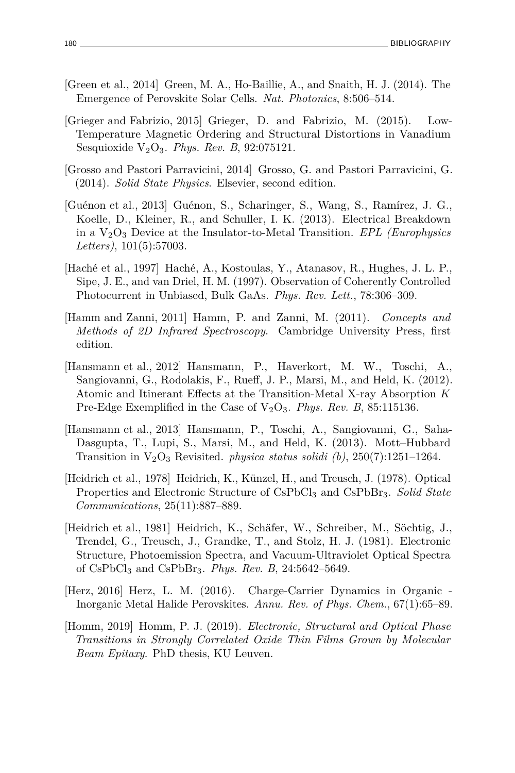- [Green et al., 2014] Green, M. A., Ho-Baillie, A., and Snaith, H. J. (2014). The Emergence of Perovskite Solar Cells. *Nat. Photonics*, 8:506–514.
- [Grieger and Fabrizio, 2015] Grieger, D. and Fabrizio, M. (2015). Low-Temperature Magnetic Ordering and Structural Distortions in Vanadium Sesquioxide V2O3. *Phys. Rev. B*, 92:075121.
- [Grosso and Pastori Parravicini, 2014] Grosso, G. and Pastori Parravicini, G. (2014). *Solid State Physics*. Elsevier, second edition.
- [Guénon et al., 2013] Guénon, S., Scharinger, S., Wang, S., Ramírez, J. G., Koelle, D., Kleiner, R., and Schuller, I. K. (2013). Electrical Breakdown in a V2O<sup>3</sup> Device at the Insulator-to-Metal Transition. *EPL (Europhysics Letters)*, 101(5):57003.
- [Haché et al., 1997] Haché, A., Kostoulas, Y., Atanasov, R., Hughes, J. L. P., Sipe, J. E., and van Driel, H. M. (1997). Observation of Coherently Controlled Photocurrent in Unbiased, Bulk GaAs. *Phys. Rev. Lett.*, 78:306–309.
- [Hamm and Zanni, 2011] Hamm, P. and Zanni, M. (2011). *Concepts and Methods of 2D Infrared Spectroscopy*. Cambridge University Press, first edition.
- [Hansmann et al., 2012] Hansmann, P., Haverkort, M. W., Toschi, A., Sangiovanni, G., Rodolakis, F., Rueff, J. P., Marsi, M., and Held, K. (2012). Atomic and Itinerant Effects at the Transition-Metal X-ray Absorption *K* Pre-Edge Exemplified in the Case of  $V_2O_3$ . *Phys. Rev. B*, 85:115136.
- [Hansmann et al., 2013] Hansmann, P., Toschi, A., Sangiovanni, G., Saha-Dasgupta, T., Lupi, S., Marsi, M., and Held, K. (2013). Mott–Hubbard Transition in  $V_2O_3$  Revisited. *physica status solidi* (b), 250(7):1251-1264.
- [Heidrich et al., 1978] Heidrich, K., Künzel, H., and Treusch, J. (1978). Optical Properties and Electronic Structure of CsPbCl<sup>3</sup> and CsPbBr3. *Solid State Communications*, 25(11):887–889.
- [Heidrich et al., 1981] Heidrich, K., Schäfer, W., Schreiber, M., Söchtig, J., Trendel, G., Treusch, J., Grandke, T., and Stolz, H. J. (1981). Electronic Structure, Photoemission Spectra, and Vacuum-Ultraviolet Optical Spectra of CsPbCl<sup>3</sup> and CsPbBr3. *Phys. Rev. B*, 24:5642–5649.
- [Herz, 2016] Herz, L. M. (2016). Charge-Carrier Dynamics in Organic Inorganic Metal Halide Perovskites. *Annu. Rev. of Phys. Chem.*, 67(1):65–89.
- [Homm, 2019] Homm, P. J. (2019). *Electronic, Structural and Optical Phase Transitions in Strongly Correlated Oxide Thin Films Grown by Molecular Beam Epitaxy*. PhD thesis, KU Leuven.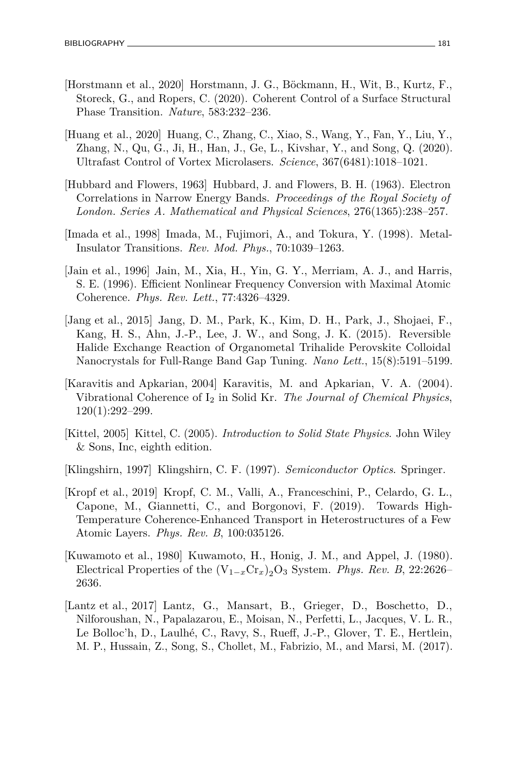- [Horstmann et al., 2020] Horstmann, J. G., Böckmann, H., Wit, B., Kurtz, F., Storeck, G., and Ropers, C. (2020). Coherent Control of a Surface Structural Phase Transition. *Nature*, 583:232–236.
- [Huang et al., 2020] Huang, C., Zhang, C., Xiao, S., Wang, Y., Fan, Y., Liu, Y., Zhang, N., Qu, G., Ji, H., Han, J., Ge, L., Kivshar, Y., and Song, Q. (2020). Ultrafast Control of Vortex Microlasers. *Science*, 367(6481):1018–1021.
- [Hubbard and Flowers, 1963] Hubbard, J. and Flowers, B. H. (1963). Electron Correlations in Narrow Energy Bands. *Proceedings of the Royal Society of London. Series A. Mathematical and Physical Sciences*, 276(1365):238–257.
- [Imada et al., 1998] Imada, M., Fujimori, A., and Tokura, Y. (1998). Metal-Insulator Transitions. *Rev. Mod. Phys.*, 70:1039–1263.
- [Jain et al., 1996] Jain, M., Xia, H., Yin, G. Y., Merriam, A. J., and Harris, S. E. (1996). Efficient Nonlinear Frequency Conversion with Maximal Atomic Coherence. *Phys. Rev. Lett.*, 77:4326–4329.
- [Jang et al., 2015] Jang, D. M., Park, K., Kim, D. H., Park, J., Shojaei, F., Kang, H. S., Ahn, J.-P., Lee, J. W., and Song, J. K. (2015). Reversible Halide Exchange Reaction of Organometal Trihalide Perovskite Colloidal Nanocrystals for Full-Range Band Gap Tuning. *Nano Lett.*, 15(8):5191–5199.
- [Karavitis and Apkarian, 2004] Karavitis, M. and Apkarian, V. A. (2004). Vibrational Coherence of I<sup>2</sup> in Solid Kr. *The Journal of Chemical Physics*, 120(1):292–299.
- [Kittel, 2005] Kittel, C. (2005). *Introduction to Solid State Physics*. John Wiley & Sons, Inc, eighth edition.
- [Klingshirn, 1997] Klingshirn, C. F. (1997). *Semiconductor Optics*. Springer.
- [Kropf et al., 2019] Kropf, C. M., Valli, A., Franceschini, P., Celardo, G. L., Capone, M., Giannetti, C., and Borgonovi, F. (2019). Towards High-Temperature Coherence-Enhanced Transport in Heterostructures of a Few Atomic Layers. *Phys. Rev. B*, 100:035126.
- [Kuwamoto et al., 1980] Kuwamoto, H., Honig, J. M., and Appel, J. (1980). Electrical Properties of the  $(V_{1-x}Cr_x)_2O_3$  System. *Phys. Rev. B*, 22:2626– 2636.
- [Lantz et al., 2017] Lantz, G., Mansart, B., Grieger, D., Boschetto, D., Nilforoushan, N., Papalazarou, E., Moisan, N., Perfetti, L., Jacques, V. L. R., Le Bolloc'h, D., Laulhé, C., Ravy, S., Rueff, J.-P., Glover, T. E., Hertlein, M. P., Hussain, Z., Song, S., Chollet, M., Fabrizio, M., and Marsi, M. (2017).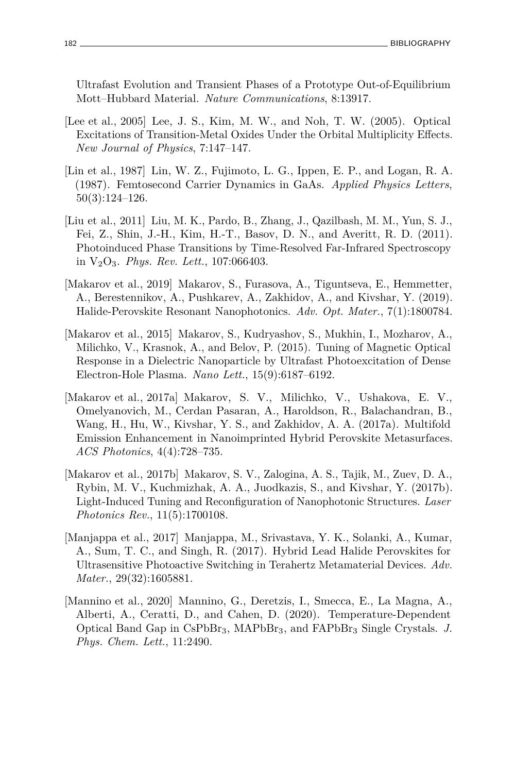Ultrafast Evolution and Transient Phases of a Prototype Out-of-Equilibrium Mott–Hubbard Material. *Nature Communications*, 8:13917.

- [Lee et al., 2005] Lee, J. S., Kim, M. W., and Noh, T. W. (2005). Optical Excitations of Transition-Metal Oxides Under the Orbital Multiplicity Effects. *New Journal of Physics*, 7:147–147.
- [Lin et al., 1987] Lin, W. Z., Fujimoto, L. G., Ippen, E. P., and Logan, R. A. (1987). Femtosecond Carrier Dynamics in GaAs. *Applied Physics Letters*, 50(3):124–126.
- [Liu et al., 2011] Liu, M. K., Pardo, B., Zhang, J., Qazilbash, M. M., Yun, S. J., Fei, Z., Shin, J.-H., Kim, H.-T., Basov, D. N., and Averitt, R. D. (2011). Photoinduced Phase Transitions by Time-Resolved Far-Infrared Spectroscopy in V2O3. *Phys. Rev. Lett.*, 107:066403.
- [Makarov et al., 2019] Makarov, S., Furasova, A., Tiguntseva, E., Hemmetter, A., Berestennikov, A., Pushkarev, A., Zakhidov, A., and Kivshar, Y. (2019). Halide-Perovskite Resonant Nanophotonics. *Adv. Opt. Mater.*, 7(1):1800784.
- [Makarov et al., 2015] Makarov, S., Kudryashov, S., Mukhin, I., Mozharov, A., Milichko, V., Krasnok, A., and Belov, P. (2015). Tuning of Magnetic Optical Response in a Dielectric Nanoparticle by Ultrafast Photoexcitation of Dense Electron-Hole Plasma. *Nano Lett.*, 15(9):6187–6192.
- [Makarov et al., 2017a] Makarov, S. V., Milichko, V., Ushakova, E. V., Omelyanovich, M., Cerdan Pasaran, A., Haroldson, R., Balachandran, B., Wang, H., Hu, W., Kivshar, Y. S., and Zakhidov, A. A. (2017a). Multifold Emission Enhancement in Nanoimprinted Hybrid Perovskite Metasurfaces. *ACS Photonics*, 4(4):728–735.
- [Makarov et al., 2017b] Makarov, S. V., Zalogina, A. S., Tajik, M., Zuev, D. A., Rybin, M. V., Kuchmizhak, A. A., Juodkazis, S., and Kivshar, Y. (2017b). Light-Induced Tuning and Reconfiguration of Nanophotonic Structures. *Laser Photonics Rev.*, 11(5):1700108.
- [Manjappa et al., 2017] Manjappa, M., Srivastava, Y. K., Solanki, A., Kumar, A., Sum, T. C., and Singh, R. (2017). Hybrid Lead Halide Perovskites for Ultrasensitive Photoactive Switching in Terahertz Metamaterial Devices. *Adv. Mater.*, 29(32):1605881.
- [Mannino et al., 2020] Mannino, G., Deretzis, I., Smecca, E., La Magna, A., Alberti, A., Ceratti, D., and Cahen, D. (2020). Temperature-Dependent Optical Band Gap in CsPbBr3, MAPbBr3, and FAPbBr<sup>3</sup> Single Crystals. *J. Phys. Chem. Lett.*, 11:2490.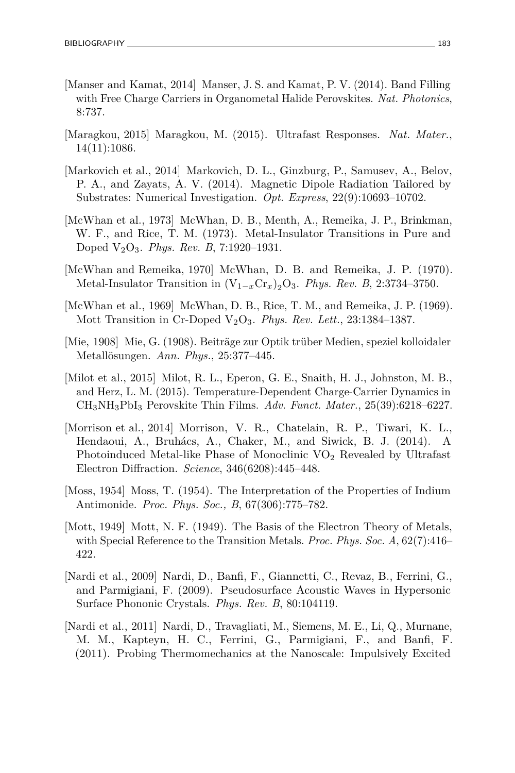- [Manser and Kamat, 2014] Manser, J. S. and Kamat, P. V. (2014). Band Filling with Free Charge Carriers in Organometal Halide Perovskites. *Nat. Photonics*, 8:737.
- [Maragkou, 2015] Maragkou, M. (2015). Ultrafast Responses. *Nat. Mater.*, 14(11):1086.
- [Markovich et al., 2014] Markovich, D. L., Ginzburg, P., Samusev, A., Belov, P. A., and Zayats, A. V. (2014). Magnetic Dipole Radiation Tailored by Substrates: Numerical Investigation. *Opt. Express*, 22(9):10693–10702.
- [McWhan et al., 1973] McWhan, D. B., Menth, A., Remeika, J. P., Brinkman, W. F., and Rice, T. M. (1973). Metal-Insulator Transitions in Pure and Doped V2O3. *Phys. Rev. B*, 7:1920–1931.
- [McWhan and Remeika, 1970] McWhan, D. B. and Remeika, J. P. (1970). Metal-Insulator Transition in  $(V_{1-x}Cr_x)_2O_3$ . *Phys. Rev. B*, 2:3734–3750.
- [McWhan et al., 1969] McWhan, D. B., Rice, T. M., and Remeika, J. P. (1969). Mott Transition in Cr-Doped V2O3. *Phys. Rev. Lett.*, 23:1384–1387.
- [Mie, 1908] Mie, G. (1908). Beiträge zur Optik trüber Medien, speziel kolloidaler Metallösungen. *Ann. Phys.*, 25:377–445.
- [Milot et al., 2015] Milot, R. L., Eperon, G. E., Snaith, H. J., Johnston, M. B., and Herz, L. M. (2015). Temperature-Dependent Charge-Carrier Dynamics in CH3NH3PbI<sup>3</sup> Perovskite Thin Films. *Adv. Funct. Mater.*, 25(39):6218–6227.
- [Morrison et al., 2014] Morrison, V. R., Chatelain, R. P., Tiwari, K. L., Hendaoui, A., Bruhács, A., Chaker, M., and Siwick, B. J. (2014). A Photoinduced Metal-like Phase of Monoclinic  $\rm{VO}_2$  Revealed by Ultrafast Electron Diffraction. *Science*, 346(6208):445–448.
- [Moss, 1954] Moss, T. (1954). The Interpretation of the Properties of Indium Antimonide. *Proc. Phys. Soc., B*, 67(306):775–782.
- [Mott, 1949] Mott, N. F. (1949). The Basis of the Electron Theory of Metals, with Special Reference to the Transition Metals. *Proc. Phys. Soc. A*, 62(7):416– 422.
- [Nardi et al., 2009] Nardi, D., Banfi, F., Giannetti, C., Revaz, B., Ferrini, G., and Parmigiani, F. (2009). Pseudosurface Acoustic Waves in Hypersonic Surface Phononic Crystals. *Phys. Rev. B*, 80:104119.
- [Nardi et al., 2011] Nardi, D., Travagliati, M., Siemens, M. E., Li, Q., Murnane, M. M., Kapteyn, H. C., Ferrini, G., Parmigiani, F., and Banfi, F. (2011). Probing Thermomechanics at the Nanoscale: Impulsively Excited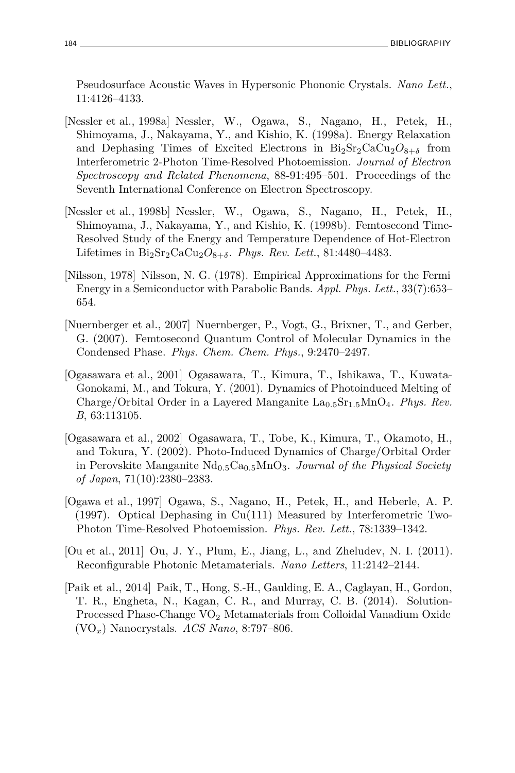Pseudosurface Acoustic Waves in Hypersonic Phononic Crystals. *Nano Lett.*, 11:4126–4133.

- [Nessler et al., 1998a] Nessler, W., Ogawa, S., Nagano, H., Petek, H., Shimoyama, J., Nakayama, Y., and Kishio, K. (1998a). Energy Relaxation and Dephasing Times of Excited Electrons in  $Bi_2Sr_2CaCu_2O_{8+\delta}$  from Interferometric 2-Photon Time-Resolved Photoemission. *Journal of Electron Spectroscopy and Related Phenomena*, 88-91:495–501. Proceedings of the Seventh International Conference on Electron Spectroscopy.
- [Nessler et al., 1998b] Nessler, W., Ogawa, S., Nagano, H., Petek, H., Shimoyama, J., Nakayama, Y., and Kishio, K. (1998b). Femtosecond Time-Resolved Study of the Energy and Temperature Dependence of Hot-Electron Lifetimes in  $Bi_2Sr_2CaCu_2O_{8+\delta}$ . *Phys. Rev. Lett.*, 81:4480-4483.
- [Nilsson, 1978] Nilsson, N. G. (1978). Empirical Approximations for the Fermi Energy in a Semiconductor with Parabolic Bands. *Appl. Phys. Lett.*, 33(7):653– 654.
- [Nuernberger et al., 2007] Nuernberger, P., Vogt, G., Brixner, T., and Gerber, G. (2007). Femtosecond Quantum Control of Molecular Dynamics in the Condensed Phase. *Phys. Chem. Chem. Phys.*, 9:2470–2497.
- [Ogasawara et al., 2001] Ogasawara, T., Kimura, T., Ishikawa, T., Kuwata-Gonokami, M., and Tokura, Y. (2001). Dynamics of Photoinduced Melting of Charge/Orbital Order in a Layered Manganite La<sub>0.5</sub>Sr<sub>1.5</sub>MnO<sub>4</sub>. *Phys. Rev. B*, 63:113105.
- [Ogasawara et al., 2002] Ogasawara, T., Tobe, K., Kimura, T., Okamoto, H., and Tokura, Y. (2002). Photo-Induced Dynamics of Charge/Orbital Order in Perovskite Manganite Nd0*.*5Ca0*.*5MnO3. *Journal of the Physical Society of Japan*, 71(10):2380–2383.
- [Ogawa et al., 1997] Ogawa, S., Nagano, H., Petek, H., and Heberle, A. P. (1997). Optical Dephasing in Cu(111) Measured by Interferometric Two-Photon Time-Resolved Photoemission. *Phys. Rev. Lett.*, 78:1339–1342.
- [Ou et al., 2011] Ou, J. Y., Plum, E., Jiang, L., and Zheludev, N. I. (2011). Reconfigurable Photonic Metamaterials. *Nano Letters*, 11:2142–2144.
- [Paik et al., 2014] Paik, T., Hong, S.-H., Gaulding, E. A., Caglayan, H., Gordon, T. R., Engheta, N., Kagan, C. R., and Murray, C. B. (2014). Solution-Processed Phase-Change VO<sup>2</sup> Metamaterials from Colloidal Vanadium Oxide (VO*x*) Nanocrystals. *ACS Nano*, 8:797–806.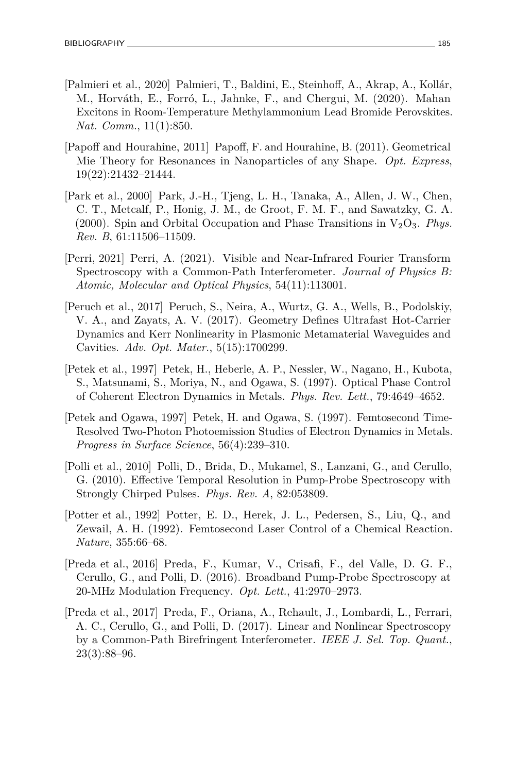- [Palmieri et al., 2020] Palmieri, T., Baldini, E., Steinhoff, A., Akrap, A., Kollár, M., Horváth, E., Forró, L., Jahnke, F., and Chergui, M. (2020). Mahan Excitons in Room-Temperature Methylammonium Lead Bromide Perovskites. *Nat. Comm.*, 11(1):850.
- [Papoff and Hourahine, 2011] Papoff, F. and Hourahine, B. (2011). Geometrical Mie Theory for Resonances in Nanoparticles of any Shape. *Opt. Express*, 19(22):21432–21444.
- [Park et al., 2000] Park, J.-H., Tjeng, L. H., Tanaka, A., Allen, J. W., Chen, C. T., Metcalf, P., Honig, J. M., de Groot, F. M. F., and Sawatzky, G. A. (2000). Spin and Orbital Occupation and Phase Transitions in  $V_2O_3$ . *Phys. Rev. B*, 61:11506–11509.
- [Perri, 2021] Perri, A. (2021). Visible and Near-Infrared Fourier Transform Spectroscopy with a Common-Path Interferometer. *Journal of Physics B: Atomic, Molecular and Optical Physics*, 54(11):113001.
- [Peruch et al., 2017] Peruch, S., Neira, A., Wurtz, G. A., Wells, B., Podolskiy, V. A., and Zayats, A. V. (2017). Geometry Defines Ultrafast Hot-Carrier Dynamics and Kerr Nonlinearity in Plasmonic Metamaterial Waveguides and Cavities. *Adv. Opt. Mater.*, 5(15):1700299.
- [Petek et al., 1997] Petek, H., Heberle, A. P., Nessler, W., Nagano, H., Kubota, S., Matsunami, S., Moriya, N., and Ogawa, S. (1997). Optical Phase Control of Coherent Electron Dynamics in Metals. *Phys. Rev. Lett.*, 79:4649–4652.
- [Petek and Ogawa, 1997] Petek, H. and Ogawa, S. (1997). Femtosecond Time-Resolved Two-Photon Photoemission Studies of Electron Dynamics in Metals. *Progress in Surface Science*, 56(4):239–310.
- [Polli et al., 2010] Polli, D., Brida, D., Mukamel, S., Lanzani, G., and Cerullo, G. (2010). Effective Temporal Resolution in Pump-Probe Spectroscopy with Strongly Chirped Pulses. *Phys. Rev. A*, 82:053809.
- [Potter et al., 1992] Potter, E. D., Herek, J. L., Pedersen, S., Liu, Q., and Zewail, A. H. (1992). Femtosecond Laser Control of a Chemical Reaction. *Nature*, 355:66–68.
- [Preda et al., 2016] Preda, F., Kumar, V., Crisafi, F., del Valle, D. G. F., Cerullo, G., and Polli, D. (2016). Broadband Pump-Probe Spectroscopy at 20-MHz Modulation Frequency. *Opt. Lett.*, 41:2970–2973.
- [Preda et al., 2017] Preda, F., Oriana, A., Rehault, J., Lombardi, L., Ferrari, A. C., Cerullo, G., and Polli, D. (2017). Linear and Nonlinear Spectroscopy by a Common-Path Birefringent Interferometer. *IEEE J. Sel. Top. Quant.*, 23(3):88–96.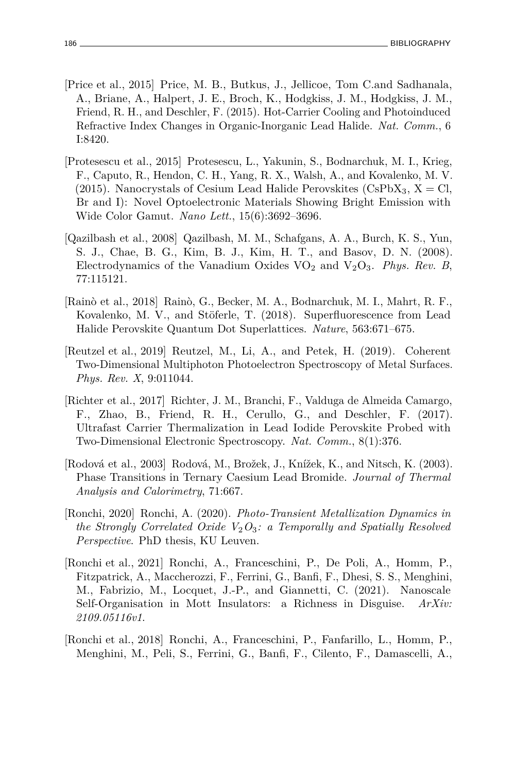- [Price et al., 2015] Price, M. B., Butkus, J., Jellicoe, Tom C.and Sadhanala, A., Briane, A., Halpert, J. E., Broch, K., Hodgkiss, J. M., Hodgkiss, J. M., Friend, R. H., and Deschler, F. (2015). Hot-Carrier Cooling and Photoinduced Refractive Index Changes in Organic-Inorganic Lead Halide. *Nat. Comm.*, 6 I:8420.
- [Protesescu et al., 2015] Protesescu, L., Yakunin, S., Bodnarchuk, M. I., Krieg, F., Caputo, R., Hendon, C. H., Yang, R. X., Walsh, A., and Kovalenko, M. V. (2015). Nanocrystals of Cesium Lead Halide Perovskites (CsPbX<sub>3</sub>, X = Cl, Br and I): Novel Optoelectronic Materials Showing Bright Emission with Wide Color Gamut. *Nano Lett.*, 15(6):3692–3696.
- [Qazilbash et al., 2008] Qazilbash, M. M., Schafgans, A. A., Burch, K. S., Yun, S. J., Chae, B. G., Kim, B. J., Kim, H. T., and Basov, D. N. (2008). Electrodynamics of the Vanadium Oxides VO<sup>2</sup> and V2O3. *Phys. Rev. B*, 77:115121.
- [Rainò et al., 2018] Rainò, G., Becker, M. A., Bodnarchuk, M. I., Mahrt, R. F., Kovalenko, M. V., and Stöferle, T. (2018). Superfluorescence from Lead Halide Perovskite Quantum Dot Superlattices. *Nature*, 563:671–675.
- [Reutzel et al., 2019] Reutzel, M., Li, A., and Petek, H. (2019). Coherent Two-Dimensional Multiphoton Photoelectron Spectroscopy of Metal Surfaces. *Phys. Rev. X*, 9:011044.
- [Richter et al., 2017] Richter, J. M., Branchi, F., Valduga de Almeida Camargo, F., Zhao, B., Friend, R. H., Cerullo, G., and Deschler, F. (2017). Ultrafast Carrier Thermalization in Lead Iodide Perovskite Probed with Two-Dimensional Electronic Spectroscopy. *Nat. Comm.*, 8(1):376.
- [Rodová et al., 2003] Rodová, M., Brožek, J., Knížek, K., and Nitsch, K. (2003). Phase Transitions in Ternary Caesium Lead Bromide. *Journal of Thermal Analysis and Calorimetry*, 71:667.
- [Ronchi, 2020] Ronchi, A. (2020). *Photo-Transient Metallization Dynamics in the Strongly Correlated Oxide V*2*O*3*: a Temporally and Spatially Resolved Perspective*. PhD thesis, KU Leuven.
- [Ronchi et al., 2021] Ronchi, A., Franceschini, P., De Poli, A., Homm, P., Fitzpatrick, A., Maccherozzi, F., Ferrini, G., Banfi, F., Dhesi, S. S., Menghini, M., Fabrizio, M., Locquet, J.-P., and Giannetti, C. (2021). Nanoscale Self-Organisation in Mott Insulators: a Richness in Disguise. *ArXiv: 2109.05116v1*.
- [Ronchi et al., 2018] Ronchi, A., Franceschini, P., Fanfarillo, L., Homm, P., Menghini, M., Peli, S., Ferrini, G., Banfi, F., Cilento, F., Damascelli, A.,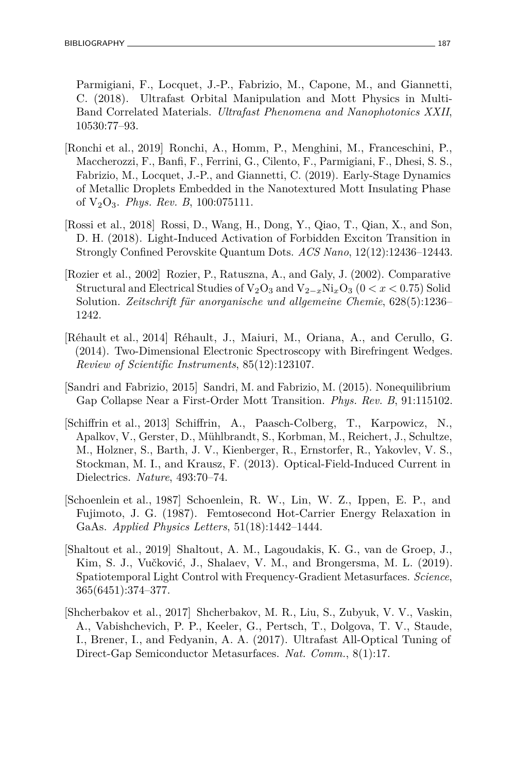Parmigiani, F., Locquet, J.-P., Fabrizio, M., Capone, M., and Giannetti, C. (2018). Ultrafast Orbital Manipulation and Mott Physics in Multi-Band Correlated Materials. *Ultrafast Phenomena and Nanophotonics XXII*, 10530:77–93.

- [Ronchi et al., 2019] Ronchi, A., Homm, P., Menghini, M., Franceschini, P., Maccherozzi, F., Banfi, F., Ferrini, G., Cilento, F., Parmigiani, F., Dhesi, S. S., Fabrizio, M., Locquet, J.-P., and Giannetti, C. (2019). Early-Stage Dynamics of Metallic Droplets Embedded in the Nanotextured Mott Insulating Phase of V2O3. *Phys. Rev. B*, 100:075111.
- [Rossi et al., 2018] Rossi, D., Wang, H., Dong, Y., Qiao, T., Qian, X., and Son, D. H. (2018). Light-Induced Activation of Forbidden Exciton Transition in Strongly Confined Perovskite Quantum Dots. *ACS Nano*, 12(12):12436–12443.
- [Rozier et al., 2002] Rozier, P., Ratuszna, A., and Galy, J. (2002). Comparative Structural and Electrical Studies of V2O<sup>3</sup> and V2−*x*Ni*x*O<sup>3</sup> (0 *< x <* 0.75) Solid Solution. *Zeitschrift für anorganische und allgemeine Chemie*, 628(5):1236– 1242.
- [Réhault et al., 2014] Réhault, J., Maiuri, M., Oriana, A., and Cerullo, G. (2014). Two-Dimensional Electronic Spectroscopy with Birefringent Wedges. *Review of Scientific Instruments*, 85(12):123107.
- [Sandri and Fabrizio, 2015] Sandri, M. and Fabrizio, M. (2015). Nonequilibrium Gap Collapse Near a First-Order Mott Transition. *Phys. Rev. B*, 91:115102.
- [Schiffrin et al., 2013] Schiffrin, A., Paasch-Colberg, T., Karpowicz, N., Apalkov, V., Gerster, D., Mühlbrandt, S., Korbman, M., Reichert, J., Schultze, M., Holzner, S., Barth, J. V., Kienberger, R., Ernstorfer, R., Yakovlev, V. S., Stockman, M. I., and Krausz, F. (2013). Optical-Field-Induced Current in Dielectrics. *Nature*, 493:70–74.
- [Schoenlein et al., 1987] Schoenlein, R. W., Lin, W. Z., Ippen, E. P., and Fujimoto, J. G. (1987). Femtosecond Hot-Carrier Energy Relaxation in GaAs. *Applied Physics Letters*, 51(18):1442–1444.
- [Shaltout et al., 2019] Shaltout, A. M., Lagoudakis, K. G., van de Groep, J., Kim, S. J., Vučković, J., Shalaev, V. M., and Brongersma, M. L. (2019). Spatiotemporal Light Control with Frequency-Gradient Metasurfaces. *Science*, 365(6451):374–377.
- [Shcherbakov et al., 2017] Shcherbakov, M. R., Liu, S., Zubyuk, V. V., Vaskin, A., Vabishchevich, P. P., Keeler, G., Pertsch, T., Dolgova, T. V., Staude, I., Brener, I., and Fedyanin, A. A. (2017). Ultrafast All-Optical Tuning of Direct-Gap Semiconductor Metasurfaces. *Nat. Comm.*, 8(1):17.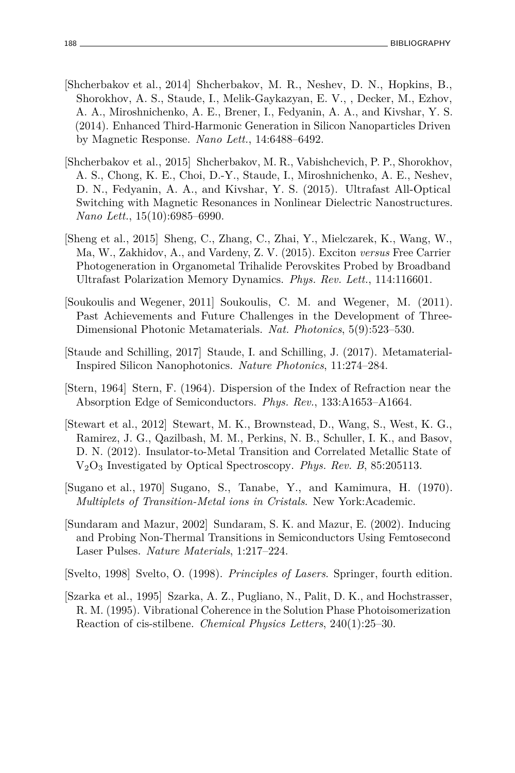- [Shcherbakov et al., 2014] Shcherbakov, M. R., Neshev, D. N., Hopkins, B., Shorokhov, A. S., Staude, I., Melik-Gaykazyan, E. V., , Decker, M., Ezhov, A. A., Miroshnichenko, A. E., Brener, I., Fedyanin, A. A., and Kivshar, Y. S. (2014). Enhanced Third-Harmonic Generation in Silicon Nanoparticles Driven by Magnetic Response. *Nano Lett.*, 14:6488–6492.
- [Shcherbakov et al., 2015] Shcherbakov, M. R., Vabishchevich, P. P., Shorokhov, A. S., Chong, K. E., Choi, D.-Y., Staude, I., Miroshnichenko, A. E., Neshev, D. N., Fedyanin, A. A., and Kivshar, Y. S. (2015). Ultrafast All-Optical Switching with Magnetic Resonances in Nonlinear Dielectric Nanostructures. *Nano Lett.*, 15(10):6985–6990.
- [Sheng et al., 2015] Sheng, C., Zhang, C., Zhai, Y., Mielczarek, K., Wang, W., Ma, W., Zakhidov, A., and Vardeny, Z. V. (2015). Exciton *versus* Free Carrier Photogeneration in Organometal Trihalide Perovskites Probed by Broadband Ultrafast Polarization Memory Dynamics. *Phys. Rev. Lett.*, 114:116601.
- [Soukoulis and Wegener, 2011] Soukoulis, C. M. and Wegener, M. (2011). Past Achievements and Future Challenges in the Development of Three-Dimensional Photonic Metamaterials. *Nat. Photonics*, 5(9):523–530.
- [Staude and Schilling, 2017] Staude, I. and Schilling, J. (2017). Metamaterial-Inspired Silicon Nanophotonics. *Nature Photonics*, 11:274–284.
- [Stern, 1964] Stern, F. (1964). Dispersion of the Index of Refraction near the Absorption Edge of Semiconductors. *Phys. Rev.*, 133:A1653–A1664.
- [Stewart et al., 2012] Stewart, M. K., Brownstead, D., Wang, S., West, K. G., Ramirez, J. G., Qazilbash, M. M., Perkins, N. B., Schuller, I. K., and Basov, D. N. (2012). Insulator-to-Metal Transition and Correlated Metallic State of V2O<sup>3</sup> Investigated by Optical Spectroscopy. *Phys. Rev. B*, 85:205113.
- [Sugano et al., 1970] Sugano, S., Tanabe, Y., and Kamimura, H. (1970). *Multiplets of Transition-Metal ions in Cristals*. New York:Academic.
- [Sundaram and Mazur, 2002] Sundaram, S. K. and Mazur, E. (2002). Inducing and Probing Non-Thermal Transitions in Semiconductors Using Femtosecond Laser Pulses. *Nature Materials*, 1:217–224.
- [Svelto, 1998] Svelto, O. (1998). *Principles of Lasers*. Springer, fourth edition.
- [Szarka et al., 1995] Szarka, A. Z., Pugliano, N., Palit, D. K., and Hochstrasser, R. M. (1995). Vibrational Coherence in the Solution Phase Photoisomerization Reaction of cis-stilbene. *Chemical Physics Letters*, 240(1):25–30.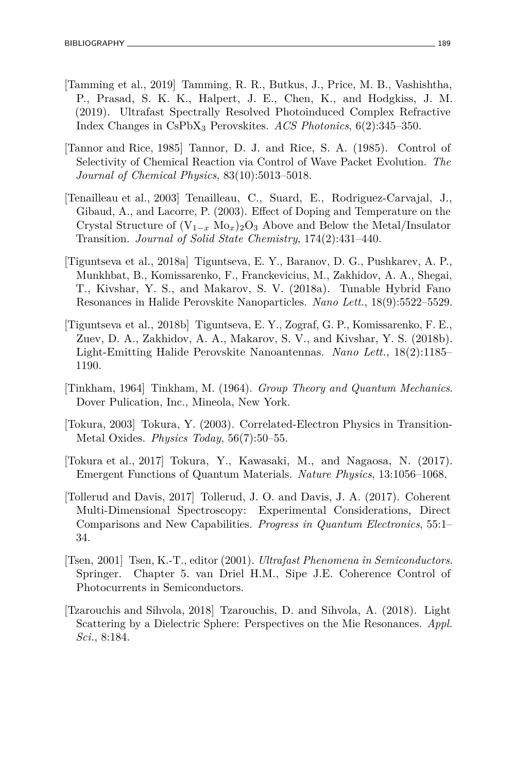- [Tamming et al., 2019] Tamming, R. R., Butkus, J., Price, M. B., Vashishtha, P., Prasad, S. K. K., Halpert, J. E., Chen, K., and Hodgkiss, J. M. (2019). Ultrafast Spectrally Resolved Photoinduced Complex Refractive Index Changes in CsPbX<sup>3</sup> Perovskites. *ACS Photonics*, 6(2):345–350.
- [Tannor and Rice, 1985] Tannor, D. J. and Rice, S. A. (1985). Control of Selectivity of Chemical Reaction via Control of Wave Packet Evolution. *The Journal of Chemical Physics*, 83(10):5013–5018.
- [Tenailleau et al., 2003] Tenailleau, C., Suard, E., Rodriguez-Carvajal, J., Gibaud, A., and Lacorre, P. (2003). Effect of Doping and Temperature on the Crystal Structure of  $(V_{1-x} M_{0x})_2 O_3$  Above and Below the Metal/Insulator Transition. *Journal of Solid State Chemistry*, 174(2):431–440.
- [Tiguntseva et al., 2018a] Tiguntseva, E. Y., Baranov, D. G., Pushkarev, A. P., Munkhbat, B., Komissarenko, F., Franckevicius, M., Zakhidov, A. A., Shegai, T., Kivshar, Y. S., and Makarov, S. V. (2018a). Tunable Hybrid Fano Resonances in Halide Perovskite Nanoparticles. *Nano Lett.*, 18(9):5522–5529.
- [Tiguntseva et al., 2018b] Tiguntseva, E. Y., Zograf, G. P., Komissarenko, F. E., Zuev, D. A., Zakhidov, A. A., Makarov, S. V., and Kivshar, Y. S. (2018b). Light-Emitting Halide Perovskite Nanoantennas. *Nano Lett.*, 18(2):1185– 1190.
- [Tinkham, 1964] Tinkham, M. (1964). *Group Theory and Quantum Mechanics*. Dover Pulication, Inc., Mineola, New York.
- [Tokura, 2003] Tokura, Y. (2003). Correlated-Electron Physics in Transition-Metal Oxides. *Physics Today*, 56(7):50–55.
- [Tokura et al., 2017] Tokura, Y., Kawasaki, M., and Nagaosa, N. (2017). Emergent Functions of Quantum Materials. *Nature Physics*, 13:1056–1068.
- [Tollerud and Davis, 2017] Tollerud, J. O. and Davis, J. A. (2017). Coherent Multi-Dimensional Spectroscopy: Experimental Considerations, Direct Comparisons and New Capabilities. *Progress in Quantum Electronics*, 55:1– 34.
- [Tsen, 2001] Tsen, K.-T., editor (2001). *Ultrafast Phenomena in Semiconductors*. Springer. Chapter 5. van Driel H.M., Sipe J.E. Coherence Control of Photocurrents in Semiconductors.
- [Tzarouchis and Sihvola, 2018] Tzarouchis, D. and Sihvola, A. (2018). Light Scattering by a Dielectric Sphere: Perspectives on the Mie Resonances. *Appl. Sci.*, 8:184.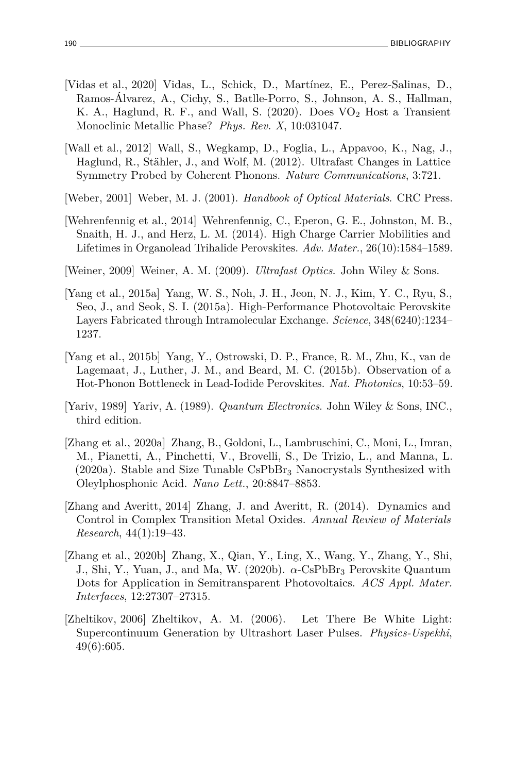- [Vidas et al., 2020] Vidas, L., Schick, D., Martínez, E., Perez-Salinas, D., Ramos-Álvarez, A., Cichy, S., Batlle-Porro, S., Johnson, A. S., Hallman, K. A., Haglund, R. F., and Wall, S. (2020). Does VO<sub>2</sub> Host a Transient Monoclinic Metallic Phase? *Phys. Rev. X*, 10:031047.
- [Wall et al., 2012] Wall, S., Wegkamp, D., Foglia, L., Appavoo, K., Nag, J., Haglund, R., Stähler, J., and Wolf, M. (2012). Ultrafast Changes in Lattice Symmetry Probed by Coherent Phonons. *Nature Communications*, 3:721.
- [Weber, 2001] Weber, M. J. (2001). *Handbook of Optical Materials*. CRC Press.
- [Wehrenfennig et al., 2014] Wehrenfennig, C., Eperon, G. E., Johnston, M. B., Snaith, H. J., and Herz, L. M. (2014). High Charge Carrier Mobilities and Lifetimes in Organolead Trihalide Perovskites. *Adv. Mater.*, 26(10):1584–1589.
- [Weiner, 2009] Weiner, A. M. (2009). *Ultrafast Optics*. John Wiley & Sons.
- [Yang et al., 2015a] Yang, W. S., Noh, J. H., Jeon, N. J., Kim, Y. C., Ryu, S., Seo, J., and Seok, S. I. (2015a). High-Performance Photovoltaic Perovskite Layers Fabricated through Intramolecular Exchange. *Science*, 348(6240):1234– 1237.
- [Yang et al., 2015b] Yang, Y., Ostrowski, D. P., France, R. M., Zhu, K., van de Lagemaat, J., Luther, J. M., and Beard, M. C. (2015b). Observation of a Hot-Phonon Bottleneck in Lead-Iodide Perovskites. *Nat. Photonics*, 10:53–59.
- [Yariv, 1989] Yariv, A. (1989). *Quantum Electronics*. John Wiley & Sons, INC., third edition.
- [Zhang et al., 2020a] Zhang, B., Goldoni, L., Lambruschini, C., Moni, L., Imran, M., Pianetti, A., Pinchetti, V., Brovelli, S., De Trizio, L., and Manna, L.  $(2020a)$ . Stable and Size Tunable CsPbBr<sub>3</sub> Nanocrystals Synthesized with Oleylphosphonic Acid. *Nano Lett.*, 20:8847–8853.
- [Zhang and Averitt, 2014] Zhang, J. and Averitt, R. (2014). Dynamics and Control in Complex Transition Metal Oxides. *Annual Review of Materials Research*, 44(1):19–43.
- [Zhang et al., 2020b] Zhang, X., Qian, Y., Ling, X., Wang, Y., Zhang, Y., Shi, J., Shi, Y., Yuan, J., and Ma, W. (2020b). *α*-CsPbBr<sup>3</sup> Perovskite Quantum Dots for Application in Semitransparent Photovoltaics. *ACS Appl. Mater. Interfaces*, 12:27307–27315.
- [Zheltikov, 2006] Zheltikov, A. M. (2006). Let There Be White Light: Supercontinuum Generation by Ultrashort Laser Pulses. *Physics-Uspekhi*, 49(6):605.